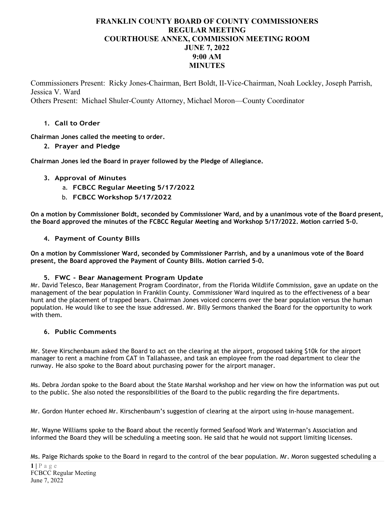# **FRANKLIN COUNTY BOARD OF COUNTY COMMISSIONERS REGULAR MEETING COURTHOUSE ANNEX, COMMISSION MEETING ROOM JUNE 7, 2022 9:00 AM MINUTES**

Commissioners Present: Ricky Jones-Chairman, Bert Boldt, II-Vice-Chairman, Noah Lockley, Joseph Parrish, Jessica V. Ward

Others Present: Michael Shuler-County Attorney, Michael Moron—County Coordinator

### **1. Call to Order**

**Chairman Jones called the meeting to order.**

### **2. Prayer and Pledge**

**Chairman Jones led the Board in prayer followed by the Pledge of Allegiance.** 

### **3. Approval of Minutes**

- a. **FCBCC Regular Meeting 5/17/2022**
- b. **FCBCC Workshop 5/17/2022**

**On a motion by Commissioner Boldt, seconded by Commissioner Ward, and by a unanimous vote of the Board present, the Board approved the minutes of the FCBCC Regular Meeting and Workshop 5/17/2022. Motion carried 5-0.**

### **4. Payment of County Bills**

**On a motion by Commissioner Ward, seconded by Commissioner Parrish, and by a unanimous vote of the Board present, the Board approved the Payment of County Bills. Motion carried 5-0.**

### **5. FWC - Bear Management Program Update**

Mr. David Telesco, Bear Management Program Coordinator, from the Florida Wildlife Commission, gave an update on the management of the bear population in Franklin County. Commissioner Ward inquired as to the effectiveness of a bear hunt and the placement of trapped bears. Chairman Jones voiced concerns over the bear population versus the human population. He would like to see the issue addressed. Mr. Billy Sermons thanked the Board for the opportunity to work with them.

### **6. Public Comments**

Mr. Steve Kirschenbaum asked the Board to act on the clearing at the airport, proposed taking \$10k for the airport manager to rent a machine from CAT in Tallahassee, and task an employee from the road department to clear the runway. He also spoke to the Board about purchasing power for the airport manager.

Ms. Debra Jordan spoke to the Board about the State Marshal workshop and her view on how the information was put out to the public. She also noted the responsibilities of the Board to the public regarding the fire departments.

Mr. Gordon Hunter echoed Mr. Kirschenbaum's suggestion of clearing at the airport using in-house management.

Mr. Wayne Williams spoke to the Board about the recently formed Seafood Work and Waterman's Association and informed the Board they will be scheduling a meeting soon. He said that he would not support limiting licenses.

### Ms. Paige Richards spoke to the Board in regard to the control of the bear population. Mr. Moron suggested scheduling a

 $1$  |  $P$  a g e FCBCC Regular Meeting June 7, 2022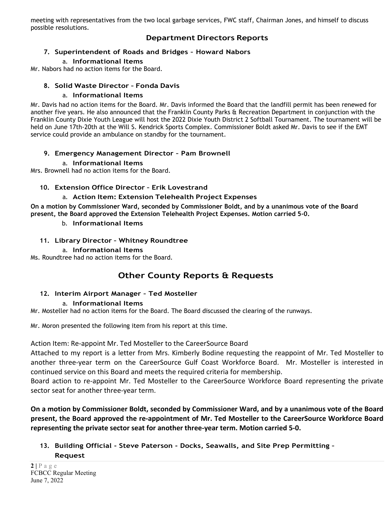meeting with representatives from the two local garbage services, FWC staff, Chairman Jones, and himself to discuss possible resolutions.

# **Department Directors Reports**

# **7. Superintendent of Roads and Bridges – Howard Nabors**

# a. **Informational Items**

Mr. Nabors had no action items for the Board.

# **8. Solid Waste Director – Fonda Davis**

# a. **Informational Items**

Mr. Davis had no action items for the Board. Mr. Davis informed the Board that the landfill permit has been renewed for another five years. He also announced that the Franklin County Parks & Recreation Department in conjunction with the Franklin County Dixie Youth League will host the 2022 Dixie Youth District 2 Softball Tournament. The tournament will be held on June 17th-20th at the Will S. Kendrick Sports Complex. Commissioner Boldt asked Mr. Davis to see if the EMT service could provide an ambulance on standby for the tournament.

# **9. Emergency Management Director – Pam Brownell**

# a. **Informational Items**

Mrs. Brownell had no action items for the Board.

# **10. Extension Office Director – Erik Lovestrand**

# a. **Action Item: Extension Telehealth Project Expenses**

**On a motion by Commissioner Ward, seconded by Commissioner Boldt, and by a unanimous vote of the Board present, the Board approved the Extension Telehealth Project Expenses. Motion carried 5-0.**

# b. **Informational Items**

# **11. Library Director – Whitney Roundtree**

# a. **Informational Items**

Ms. Roundtree had no action items for the Board.

# **Other County Reports & Requests**

# **12. Interim Airport Manager – Ted Mosteller**

# a. **Informational Items**

Mr. Mosteller had no action items for the Board. The Board discussed the clearing of the runways.

Mr. Moron presented the following item from his report at this time.

# Action Item: Re-appoint Mr. Ted Mosteller to the CareerSource Board

Attached to my report is a letter from Mrs. Kimberly Bodine requesting the reappoint of Mr. Ted Mosteller to another three-year term on the CareerSource Gulf Coast Workforce Board. Mr. Mosteller is interested in continued service on this Board and meets the required criteria for membership.

Board action to re-appoint Mr. Ted Mosteller to the CareerSource Workforce Board representing the private sector seat for another three-year term.

**On a motion by Commissioner Boldt, seconded by Commissioner Ward, and by a unanimous vote of the Board present, the Board approved the re-appointment of Mr. Ted Mosteller to the CareerSource Workforce Board representing the private sector seat for another three-year term. Motion carried 5-0.**

## **13. Building Official - Steve Paterson - Docks, Seawalls, and Site Prep Permitting – Request**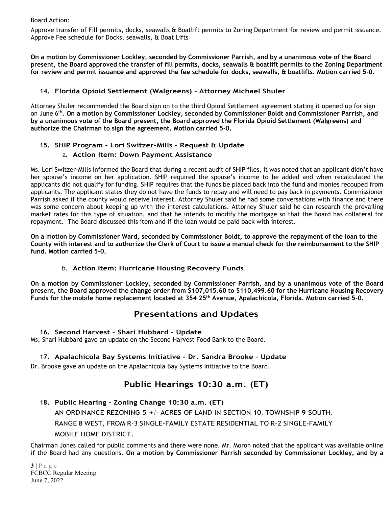Board Action:

Approve transfer of Fill permits, docks, seawalls & Boatlift permits to Zoning Department for review and permit issuance. Approve Fee schedule for Docks, seawalls, & Boat Lifts

**On a motion by Commissioner Lockley, seconded by Commissioner Parrish, and by a unanimous vote of the Board present, the Board approved the transfer of fill permits, docks, seawalls & boatlift permits to the Zoning Department for review and permit issuance and approved the fee schedule for docks, seawalls, & boatlifts. Motion carried 5-0.**

# **14. Florida Opioid Settlement (Walgreens) - Attorney Michael Shuler**

Attorney Shuler recommended the Board sign on to the third Opioid Settlement agreement stating it opened up for sign on June 6th. **On a motion by Commissioner Lockley, seconded by Commissioner Boldt and Commissioner Parrish, and by a unanimous vote of the Board present, the Board approved the Florida Opioid Settlement (Walgreens) and authorize the Chairman to sign the agreement. Motion carried 5-0.**

# **15. SHIP Program - Lori Switzer-Mills - Request & Update**

# a. **Action Item: Down Payment Assistance**

Ms. Lori Switzer-Mills informed the Board that during a recent audit of SHIP files, it was noted that an applicant didn't have her spouse's income on her application. SHIP required the spouse's income to be added and when recalculated the applicants did not qualify for funding. SHIP requires that the funds be placed back into the fund and monies recouped from applicants. The applicant states they do not have the funds to repay and will need to pay back in payments. Commissioner Parrish asked if the county would receive interest. Attorney Shuler said he had some conversations with finance and there was some concern about keeping up with the interest calculations. Attorney Shuler said he can research the prevailing market rates for this type of situation, and that he intends to modify the mortgage so that the Board has collateral for repayment. The Board discussed this item and if the loan would be paid back with interest.

**On a motion by Commissioner Ward, seconded by Commissioner Boldt, to approve the repayment of the loan to the County with interest and to authorize the Clerk of Court to issue a manual check for the reimbursement to the SHIP fund. Motion carried 5-0.**

### b. **Action Item: Hurricane Housing Recovery Funds**

**On a motion by Commissioner Lockley, seconded by Commissioner Parrish, and by a unanimous vote of the Board present, the Board approved the change order from \$107,015.60 to \$110,499.60 for the Hurricane Housing Recovery Funds for the mobile home replacement located at 354 25th Avenue, Apalachicola, Florida. Motion carried 5-0.**

# **Presentations and Updates**

### **16. Second Harvest - Shari Hubbard – Update**

Ms. Shari Hubbard gave an update on the Second Harvest Food Bank to the Board.

# **17. Apalachicola Bay Systems Initiative - Dr. Sandra Brooke – Update**

Dr. Brooke gave an update on the Apalachicola Bay Systems Initiative to the Board.

# **Public Hearings 10:30 a.m. (ET)**

# **18. Public Hearing - Zoning Change 10:30 a.m. (ET)**

AN ORDINANCE REZONING  $5 +$ / $\cdot$  ACRES OF LAND IN SECTION 10, TOWNSHIP 9 SOUTH,

RANGE 8 WEST, FROM R-3 SINGLE-FAMILY ESTATE RESIDENTIAL TO R-2 SINGLE-FAMILY

MOBILE HOME DISTRICT.

Chairman Jones called for public comments and there were none. Mr. Moron noted that the applicant was available online if the Board had any questions. **On a motion by Commissioner Parrish seconded by Commissioner Lockley, and by a**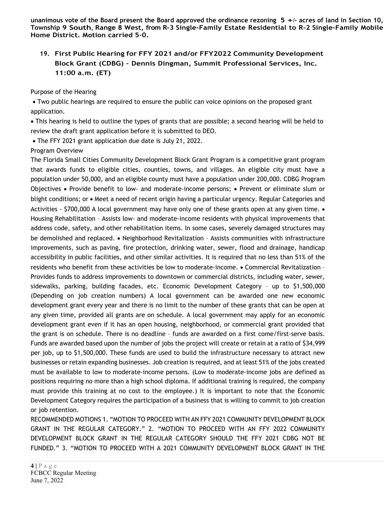**unanimous vote of the Board present the Board approved the ordinance rezoning 5 +/- acres of land in Section 10, Township 9 South, Range 8 West, from R-3 Single-Family Estate Residential to R-2 Single-Family Mobile Home District. Motion carried 5-0.**

# **19. First Public Hearing for FFY 2021 and/or FFY2022 Community Development Block Grant (CDBG) – Dennis Dingman, Summit Professional Services, Inc. 11:00 a.m. (ET)**

Purpose of the Hearing

• Two public hearings are required to ensure the public can voice opinions on the proposed grant application.

• This hearing is held to outline the types of grants that are possible; a second hearing will be held to review the draft grant application before it is submitted to DEO.

• The FFY 2021 grant application due date is July 21, 2022.

Program Overview

The Florida Small Cities Community Development Block Grant Program is a competitive grant program that awards funds to eligible cities, counties, towns, and villages. An eligible city must have a population under 50,000, and an eligible county must have a population under 200,000. CDBG Program Objectives • Provide benefit to low- and moderate-income persons; • Prevent or eliminate slum or blight conditions; or • Meet a need of recent origin having a particular urgency. Regular Categories and Activities - \$700,000 A local government may have only one of these grants open at any given time. • Housing Rehabilitation – Assists low- and moderate-income residents with physical improvements that address code, safety, and other rehabilitation items. In some cases, severely damaged structures may be demolished and replaced. • Neighborhood Revitalization – Assists communities with infrastructure improvements, such as paving, fire protection, drinking water, sewer, flood and drainage, handicap accessibility in public facilities, and other similar activities. It is required that no less than 51% of the residents who benefit from these activities be low to moderate-income. • Commercial Revitalization – Provides funds to address improvements to downtown or commercial districts, including water, sewer, sidewalks, parking, building facades, etc. Economic Development Category – up to \$1,500,000 (Depending on job creation numbers) A local government can be awarded one new economic development grant every year and there is no limit to the number of these grants that can be open at any given time, provided all grants are on schedule. A local government may apply for an economic development grant even if it has an open housing, neighborhood, or commercial grant provided that the grant is on schedule. There is no deadline – funds are awarded on a first come/first-serve basis. Funds are awarded based upon the number of jobs the project will create or retain at a ratio of \$34,999 per job, up to \$1,500,000. These funds are used to build the infrastructure necessary to attract new businesses or retain expanding businesses. Job creation is required, and at least 51% of the jobs created must be available to low to moderate-income persons. (Low to moderate-income jobs are defined as positions requiring no more than a high school diploma. If additional training is required, the company must provide this training at no cost to the employee.) It is important to note that the Economic Development Category requires the participation of a business that is willing to commit to job creation or job retention.

RECOMMENDED MOTIONS 1. "MOTION TO PROCEED WITH AN FFY 2021 COMMUNITY DEVELOPMENT BLOCK GRANT IN THE REGULAR CATEGORY." 2. "MOTION TO PROCEED WITH AN FFY 2022 COMMUNITY DEVELOPMENT BLOCK GRANT IN THE REGULAR CATEGORY SHOULD THE FFY 2021 CDBG NOT BE FUNDED." 3. "MOTION TO PROCEED WITH A 2021 COMMUNITY DEVELOPMENT BLOCK GRANT IN THE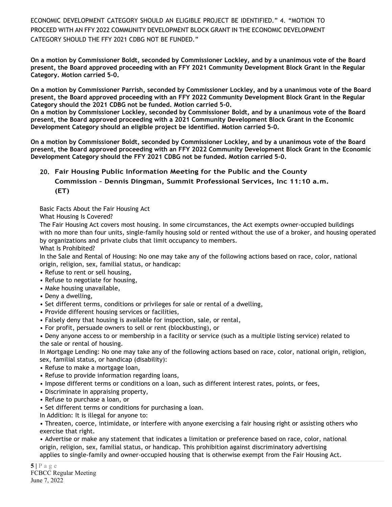ECONOMIC DEVELOPMENT CATEGORY SHOULD AN ELIGIBLE PROJECT BE IDENTIFIED." 4. "MOTION TO PROCEED WITH AN FFY 2022 COMMUNITY DEVELOPMENT BLOCK GRANT IN THE ECONOMIC DEVELOPMENT CATEGORY SHOULD THE FFY 2021 CDBG NOT BE FUNDED."

**On a motion by Commissioner Boldt, seconded by Commissioner Lockley, and by a unanimous vote of the Board present, the Board approved proceeding with an FFY 2021 Community Development Block Grant in the Regular Category. Motion carried 5-0.**

**On a motion by Commissioner Parrish, seconded by Commissioner Lockley, and by a unanimous vote of the Board present, the Board approved proceeding with an FFY 2022 Community Development Block Grant in the Regular Category should the 2021 CDBG not be funded. Motion carried 5-0.**

**On a motion by Commissioner Lockley, seconded by Commissioner Boldt, and by a unanimous vote of the Board present, the Board approved proceeding with a 2021 Community Development Block Grant in the Economic Development Category should an eligible project be identified. Motion carried 5-0.**

**On a motion by Commissioner Boldt, seconded by Commissioner Lockley, and by a unanimous vote of the Board present, the Board approved proceeding with an FFY 2022 Community Development Block Grant in the Economic Development Category should the FFY 2021 CDBG not be funded. Motion carried 5-0.**

# **20. Fair Housing Public Information Meeting for the Public and the County Commission – Dennis Dingman, Summit Professional Services, Inc 11:10 a.m. (ET)**

Basic Facts About the Fair Housing Act

What Housing Is Covered?

The Fair Housing Act covers most housing. In some circumstances, the Act exempts owner-occupied buildings with no more than four units, single-family housing sold or rented without the use of a broker, and housing operated by organizations and private clubs that limit occupancy to members.

What Is Prohibited?

In the Sale and Rental of Housing: No one may take any of the following actions based on race, color, national origin, religion, sex, familial status, or handicap:

- Refuse to rent or sell housing,
- Refuse to negotiate for housing,
- Make housing unavailable,
- Deny a dwelling,
- Set different terms, conditions or privileges for sale or rental of a dwelling,
- Provide different housing services or facilities,
- Falsely deny that housing is available for inspection, sale, or rental,
- For profit, persuade owners to sell or rent (blockbusting), or

• Deny anyone access to or membership in a facility or service (such as a multiple listing service) related to the sale or rental of housing.

In Mortgage Lending: No one may take any of the following actions based on race, color, national origin, religion, sex, familial status, or handicap (disability):

- Refuse to make a mortgage loan,
- Refuse to provide information regarding loans,
- Impose different terms or conditions on a loan, such as different interest rates, points, or fees,
- Discriminate in appraising property,
- Refuse to purchase a loan, or
- Set different terms or conditions for purchasing a loan.

In Addition: It is illegal for anyone to:

• Threaten, coerce, intimidate, or interfere with anyone exercising a fair housing right or assisting others who exercise that right.

• Advertise or make any statement that indicates a limitation or preference based on race, color, national origin, religion, sex, familial status, or handicap. This prohibition against discriminatory advertising applies to single-family and owner-occupied housing that is otherwise exempt from the Fair Housing Act.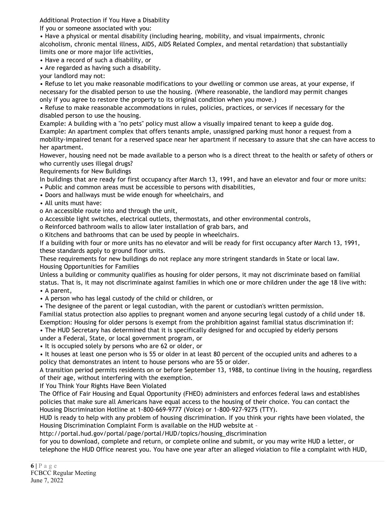Additional Protection if You Have a Disability

If you or someone associated with you:

• Have a physical or mental disability (including hearing, mobility, and visual impairments, chronic alcoholism, chronic mental illness, AIDS, AIDS Related Complex, and mental retardation) that substantially limits one or more major life activities,

• Have a record of such a disability, or

• Are regarded as having such a disability.

your landlord may not:

• Refuse to let you make reasonable modifications to your dwelling or common use areas, at your expense, if necessary for the disabled person to use the housing. (Where reasonable, the landlord may permit changes only if you agree to restore the property to its original condition when you move.)

• Refuse to make reasonable accommodations in rules, policies, practices, or services if necessary for the disabled person to use the housing.

Example: A building with a "no pets" policy must allow a visually impaired tenant to keep a guide dog. Example: An apartment complex that offers tenants ample, unassigned parking must honor a request from a mobility-impaired tenant for a reserved space near her apartment if necessary to assure that she can have access to her apartment.

However, housing need not be made available to a person who is a direct threat to the health or safety of others or who currently uses illegal drugs?

Requirements for New Buildings

In buildings that are ready for first occupancy after March 13, 1991, and have an elevator and four or more units: • Public and common areas must be accessible to persons with disabilities,

• Doors and hallways must be wide enough for wheelchairs, and

• All units must have:

o An accessible route into and through the unit,

o Accessible light switches, electrical outlets, thermostats, and other environmental controls,

o Reinforced bathroom walls to allow later installation of grab bars, and

o Kitchens and bathrooms that can be used by people in wheelchairs.

If a building with four or more units has no elevator and will be ready for first occupancy after March 13, 1991, these standards apply to ground floor units.

These requirements for new buildings do not replace any more stringent standards in State or local law. Housing Opportunities for Families

Unless a building or community qualifies as housing for older persons, it may not discriminate based on familial status. That is, it may not discriminate against families in which one or more children under the age 18 live with:

• A parent,

• A person who has legal custody of the child or children, or

• The designee of the parent or legal custodian, with the parent or custodian's written permission.

Familial status protection also applies to pregnant women and anyone securing legal custody of a child under 18. Exemption: Housing for older persons is exempt from the prohibition against familial status discrimination if:

• The HUD Secretary has determined that it is specifically designed for and occupied by elderly persons

under a Federal, State, or local government program, or

• It is occupied solely by persons who are 62 or older, or

• It houses at least one person who is 55 or older in at least 80 percent of the occupied units and adheres to a policy that demonstrates an intent to house persons who are 55 or older.

A transition period permits residents on or before September 13, 1988, to continue living in the housing, regardless of their age, without interfering with the exemption.

If You Think Your Rights Have Been Violated

The Office of Fair Housing and Equal Opportunity (FHEO) administers and enforces federal laws and establishes policies that make sure all Americans have equal access to the housing of their choice. You can contact the Housing Discrimination Hotline at 1-800-669-9777 (Voice) or 1-800-927-9275 (TTY).

HUD is ready to help with any problem of housing discrimination. If you think your rights have been violated, the Housing Discrimination Complaint Form is available on the HUD website at –

http://portal.hud.gov/portal/page/portal/HUD/topics/housing\_discrimination

for you to download, complete and return, or complete online and submit, or you may write HUD a letter, or telephone the HUD Office nearest you. You have one year after an alleged violation to file a complaint with HUD,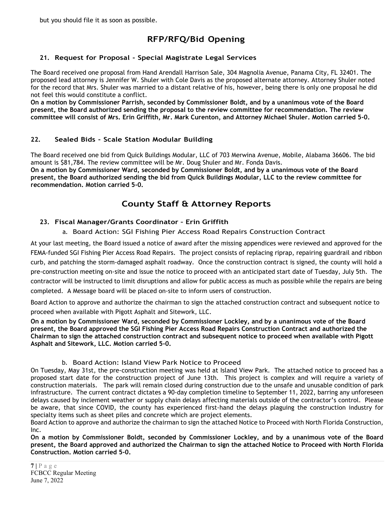but you should file it as soon as possible.

# **RFP/RFQ/Bid Opening**

## **21. Request for Proposal - Special Magistrate Legal Services**

The Board received one proposal from Hand Arendall Harrison Sale, 304 Magnolia Avenue, Panama City, FL 32401. The proposed lead attorney is Jennifer W. Shuler with Cole Davis as the proposed alternate attorney. Attorney Shuler noted for the record that Mrs. Shuler was married to a distant relative of his, however, being there is only one proposal he did not feel this would constitute a conflict.

**On a motion by Commissioner Parrish, seconded by Commissioner Boldt, and by a unanimous vote of the Board present, the Board authorized sending the proposal to the review committee for recommendation. The review committee will consist of Mrs. Erin Griffith, Mr. Mark Curenton, and Attorney Michael Shuler. Motion carried 5-0.**

# **22. Sealed Bids - Scale Station Modular Building**

The Board received one bid from Quick Buildings Modular, LLC of 703 Merwina Avenue, Mobile, Alabama 36606. The bid amount is \$81,784. The review committee will be Mr. Doug Shuler and Mr. Fonda Davis.

**On a motion by Commissioner Ward, seconded by Commissioner Boldt, and by a unanimous vote of the Board present, the Board authorized sending the bid from Quick Buildings Modular, LLC to the review committee for recommendation. Motion carried 5-0.**

# **County Staff & Attorney Reports**

# **23. Fiscal Manager/Grants Coordinator – Erin Griffith**

# a. Board Action: SGI Fishing Pier Access Road Repairs Construction Contract

At your last meeting, the Board issued a notice of award after the missing appendices were reviewed and approved for the FEMA-funded SGI Fishing Pier Access Road Repairs. The project consists of replacing riprap, repairing guardrail and ribbon curb, and patching the storm-damaged asphalt roadway. Once the construction contract is signed, the county will hold a pre-construction meeting on-site and issue the notice to proceed with an anticipated start date of Tuesday, July 5th. The contractor will be instructed to limit disruptions and allow for public access as much as possible while the repairs are being completed. A Message board will be placed on-site to inform users of construction.

Board Action to approve and authorize the chairman to sign the attached construction contract and subsequent notice to proceed when available with Pigott Asphalt and Sitework, LLC.

**On a motion by Commissioner Ward, seconded by Commissioner Lockley, and by a unanimous vote of the Board present, the Board approved the SGI Fishing Pier Access Road Repairs Construction Contract and authorized the Chairman to sign the attached construction contract and subsequent notice to proceed when available with Pigott Asphalt and Sitework, LLC. Motion carried 5-0.**

### b. Board Action: Island View Park Notice to Proceed

On Tuesday, May 31st, the pre-construction meeting was held at Island View Park. The attached notice to proceed has a proposed start date for the construction project of June 13th. This project is complex and will require a variety of construction materials. The park will remain closed during construction due to the unsafe and unusable condition of park infrastructure. The current contract dictates a 90-day completion timeline to September 11, 2022, barring any unforeseen delays caused by inclement weather or supply chain delays affecting materials outside of the contractor's control. Please be aware, that since COVID, the county has experienced first-hand the delays plaguing the construction industry for specialty items such as sheet piles and concrete which are project elements.

Board Action to approve and authorize the chairman to sign the attached Notice to Proceed with North Florida Construction, Inc.

**On a motion by Commissioner Boldt, seconded by Commissioner Lockley, and by a unanimous vote of the Board present, the Board approved and authorized the Chairman to sign the attached Notice to Proceed with North Florida Construction. Motion carried 5-0.**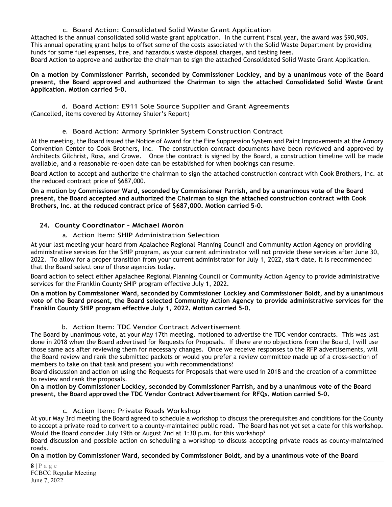#### c. Board Action: Consolidated Solid Waste Grant Application

Attached is the annual consolidated solid waste grant application. In the current fiscal year, the award was \$90,909. This annual operating grant helps to offset some of the costs associated with the Solid Waste Department by providing funds for some fuel expenses, tire, and hazardous waste disposal charges, and testing fees. Board Action to approve and authorize the chairman to sign the attached Consolidated Solid Waste Grant Application.

**On a motion by Commissioner Parrish, seconded by Commissioner Lockley, and by a unanimous vote of the Board present, the Board approved and authorized the Chairman to sign the attached Consolidated Solid Waste Grant Application. Motion carried 5-0.**

d. Board Action: E911 Sole Source Supplier and Grant Agreements (Cancelled, items covered by Attorney Shuler's Report)

#### e. Board Action: Armory Sprinkler System Construction Contract

At the meeting, the Board issued the Notice of Award for the Fire Suppression System and Paint Improvements at the Armory Convention Center to Cook Brothers, Inc. The construction contract documents have been reviewed and approved by Architects Gilchrist, Ross, and Crowe. Once the contract is signed by the Board, a construction timeline will be made available, and a reasonable re-open date can be established for when bookings can resume.

Board Action to accept and authorize the chairman to sign the attached construction contract with Cook Brothers, Inc. at the reduced contract price of \$687,000.

**On a motion by Commissioner Ward, seconded by Commissioner Parrish, and by a unanimous vote of the Board present, the Board accepted and authorized the Chairman to sign the attached construction contract with Cook Brothers, Inc. at the reduced contract price of \$687,000. Motion carried 5-0.**

### **24. County Coordinator – Michael Morón**

### a. Action Item: SHIP Administration Selection

At your last meeting your heard from Apalachee Regional Planning Council and Community Action Agency on providing administrative services for the SHIP program, as your current administrator will not provide these services after June 30, 2022. To allow for a proper transition from your current administrator for July 1, 2022, start date, it is recommended that the Board select one of these agencies today.

Board action to select either Apalachee Regional Planning Council or Community Action Agency to provide administrative services for the Franklin County SHIP program effective July 1, 2022.

**On a motion by Commissioner Ward, seconded by Commissioner Lockley and Commissioner Boldt, and by a unanimous vote of the Board present, the Board selected Community Action Agency to provide administrative services for the Franklin County SHIP program effective July 1, 2022. Motion carried 5-0.**

### b. Action Item: TDC Vendor Contract Advertisement

The Board by unanimous vote, at your May 17th meeting, motioned to advertise the TDC vendor contracts. This was last done in 2018 when the Board advertised for Requests for Proposals. If there are no objections from the Board, I will use those same ads after reviewing them for necessary changes. Once we receive responses to the RFP advertisements, will the Board review and rank the submitted packets or would you prefer a review committee made up of a cross-section of members to take on that task and present you with recommendations?

Board discussion and action on using the Requests for Proposals that were used in 2018 and the creation of a committee to review and rank the proposals.

**On a motion by Commissioner Lockley, seconded by Commissioner Parrish, and by a unanimous vote of the Board present, the Board approved the TDC Vendor Contract Advertisement for RFQs. Motion carried 5-0.**

### c. Action Item: Private Roads Workshop

At your May 3rd meeting the Board agreed to schedule a workshop to discuss the prerequisites and conditions for the County to accept a private road to convert to a county-maintained public road. The Board has not yet set a date for this workshop. Would the Board consider July 19th or August 2nd at 1:30 p.m. for this workshop?

Board discussion and possible action on scheduling a workshop to discuss accepting private roads as county-maintained roads.

#### **On a motion by Commissioner Ward, seconded by Commissioner Boldt, and by a unanimous vote of the Board**

 $8 | P a g e$ FCBCC Regular Meeting June 7, 2022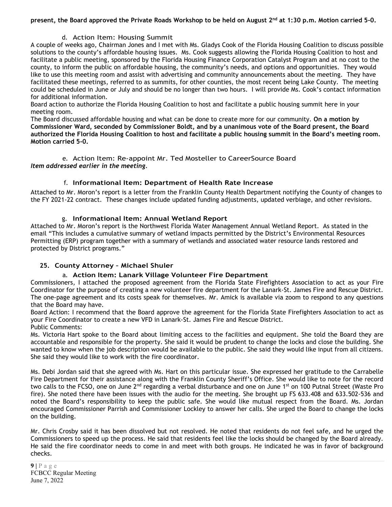**present, the Board approved the Private Roads Workshop to be held on August 2nd at 1:30 p.m. Motion carried 5-0.**

### d. Action Item: Housing Summit

A couple of weeks ago, Chairman Jones and I met with Ms. Gladys Cook of the Florida Housing Coalition to discuss possible solutions to the county's affordable housing issues. Ms. Cook suggests allowing the Florida Housing Coalition to host and facilitate a public meeting, sponsored by the Florida Housing Finance Corporation Catalyst Program and at no cost to the county, to inform the public on affordable housing, the community's needs, and options and opportunities. They would like to use this meeting room and assist with advertising and community announcements about the meeting. They have facilitated these meetings, referred to as summits, for other counties, the most recent being Lake County. The meeting could be scheduled in June or July and should be no longer than two hours. I will provide Ms. Cook's contact information for additional information.

Board action to authorize the Florida Housing Coalition to host and facilitate a public housing summit here in your meeting room.

The Board discussed affordable housing and what can be done to create more for our community. **On a motion by Commissioner Ward, seconded by Commissioner Boldt, and by a unanimous vote of the Board present, the Board authorized the Florida Housing Coalition to host and facilitate a public housing summit in the Board's meeting room. Motion carried 5-0.**

e. Action Item: Re-appoint Mr. Ted Mosteller to CareerSource Board *Item addressed earlier in the meeting.* 

### f. **Informational Item: Department of Health Rate Increase**

Attached to Mr. Moron's report is a letter from the Franklin County Health Department notifying the County of changes to the FY 2021-22 contract. These changes include updated funding adjustments, updated verbiage, and other revisions.

### g. **Informational Item: Annual Wetland Report**

Attached to Mr. Moron's report is the Northwest Florida Water Management Annual Wetland Report. As stated in the email "This includes a cumulative summary of wetland impacts permitted by the District's Environmental Resources Permitting (ERP) program together with a summary of wetlands and associated water resource lands restored and protected by District programs."

### **25. County Attorney – Michael Shuler**

### a. **Action Item: Lanark Village Volunteer Fire Department**

Commissioners, I attached the proposed agreement from the Florida State Firefighters Association to act as your Fire Coordinator for the purpose of creating a new volunteer fire department for the Lanark-St. James Fire and Rescue District. The one-page agreement and its costs speak for themselves. Mr. Amick is available via zoom to respond to any questions that the Board may have.

Board Action: I recommend that the Board approve the agreement for the Florida State Firefighters Association to act as your Fire Coordinator to create a new VFD in Lanark-St. James Fire and Rescue District. Public Comments:

Ms. Victoria Hart spoke to the Board about limiting access to the facilities and equipment. She told the Board they are accountable and responsible for the property. She said it would be prudent to change the locks and close the building. She wanted to know when the job description would be available to the public. She said they would like input from all citizens. She said they would like to work with the fire coordinator.

Ms. Debi Jordan said that she agreed with Ms. Hart on this particular issue. She expressed her gratitude to the Carrabelle Fire Department for their assistance along with the Franklin County Sheriff's Office. She would like to note for the record two calls to the FCSO, one on June 2<sup>nd</sup> regarding a verbal disturbance and one on June 1<sup>st</sup> on 100 Putnal Street (Waste Pro fire). She noted there have been issues with the audio for the meeting. She brought up FS 633.408 and 633.502-536 and noted the Board's responsibility to keep the public safe. She would like mutual respect from the Board. Ms. Jordan encouraged Commissioner Parrish and Commissioner Lockley to answer her calls. She urged the Board to change the locks on the building.

Mr. Chris Crosby said it has been dissolved but not resolved. He noted that residents do not feel safe, and he urged the Commissioners to speed up the process. He said that residents feel like the locks should be changed by the Board already. He said the fire coordinator needs to come in and meet with both groups. He indicated he was in favor of background checks.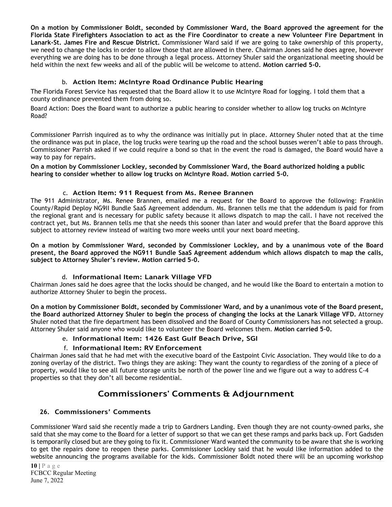**On a motion by Commissioner Boldt, seconded by Commissioner Ward, the Board approved the agreement for the Florida State Firefighters Association to act as the Fire Coordinator to create a new Volunteer Fire Department in Lanark-St. James Fire and Rescue District.** Commissioner Ward said if we are going to take ownership of this property, we need to change the locks in order to allow those that are allowed in there. Chairman Jones said he does agree, however everything we are doing has to be done through a legal process. Attorney Shuler said the organizational meeting should be held within the next few weeks and all of the public will be welcome to attend. **Motion carried 5-0.**

## b. **Action Item: McIntyre Road Ordinance Public Hearing**

The Florida Forest Service has requested that the Board allow it to use McIntyre Road for logging. I told them that a county ordinance prevented them from doing so.

Board Action: Does the Board want to authorize a public hearing to consider whether to allow log trucks on McIntyre Road?

Commissioner Parrish inquired as to why the ordinance was initially put in place. Attorney Shuler noted that at the time the ordinance was put in place, the log trucks were tearing up the road and the school busses weren't able to pass through. Commissioner Parrish asked if we could require a bond so that in the event the road is damaged, the Board would have a way to pay for repairs.

**On a motion by Commissioner Lockley, seconded by Commissioner Ward, the Board authorized holding a public hearing to consider whether to allow log trucks on McIntyre Road. Motion carried 5-0.**

### c. **Action Item: 911 Request from Ms. Renee Brannen**

The 911 Administrator, Ms. Renee Brannen, emailed me a request for the Board to approve the following: Franklin County/Rapid Deploy NG9II Bundle SaaS Agreement addendum. Ms. Brannen tells me that the addendum is paid for from the regional grant and is necessary for public safety because it allows dispatch to map the call. I have not received the contract yet, but Ms. Brannen tells me that she needs this sooner than later and would prefer that the Board approve this subject to attorney review instead of waiting two more weeks until your next board meeting.

**On a motion by Commissioner Ward, seconded by Commissioner Lockley, and by a unanimous vote of the Board present, the Board approved the NG911 Bundle SaaS Agreement addendum which allows dispatch to map the calls, subject to Attorney Shuler's review. Motion carried 5-0.**

### d. **Informational Item: Lanark Village VFD**

Chairman Jones said he does agree that the locks should be changed, and he would like the Board to entertain a motion to authorize Attorney Shuler to begin the process.

**On a motion by Commissioner Boldt, seconded by Commissioner Ward, and by a unanimous vote of the Board present, the Board authorized Attorney Shuler to begin the process of changing the locks at the Lanark Village VFD.** Attorney Shuler noted that the fire department has been dissolved and the Board of County Commissioners has not selected a group. Attorney Shuler said anyone who would like to volunteer the Board welcomes them. **Motion carried 5-0.**

### e. **Informational Item: 1426 East Gulf Beach Drive, SGI**

### f. **Informational Item: RV Enforcement**

Chairman Jones said that he had met with the executive board of the Eastpoint Civic Association. They would like to do a zoning overlay of the district. Two things they are asking: They want the county to regardless of the zoning of a piece of property, would like to see all future storage units be north of the power line and we figure out a way to address C-4 properties so that they don't all become residential.

# **Commissioners' Comments & Adjournment**

### **26. Commissioners' Comments**

Commissioner Ward said she recently made a trip to Gardners Landing. Even though they are not county-owned parks, she said that she may come to the Board for a letter of support so that we can get these ramps and parks back up. Fort Gadsden is temporarily closed but are they going to fix it. Commissioner Ward wanted the community to be aware that she is working to get the repairs done to reopen these parks. Commissioner Lockley said that he would like information added to the website announcing the programs available for the kids. Commissioner Boldt noted there will be an upcoming workshop